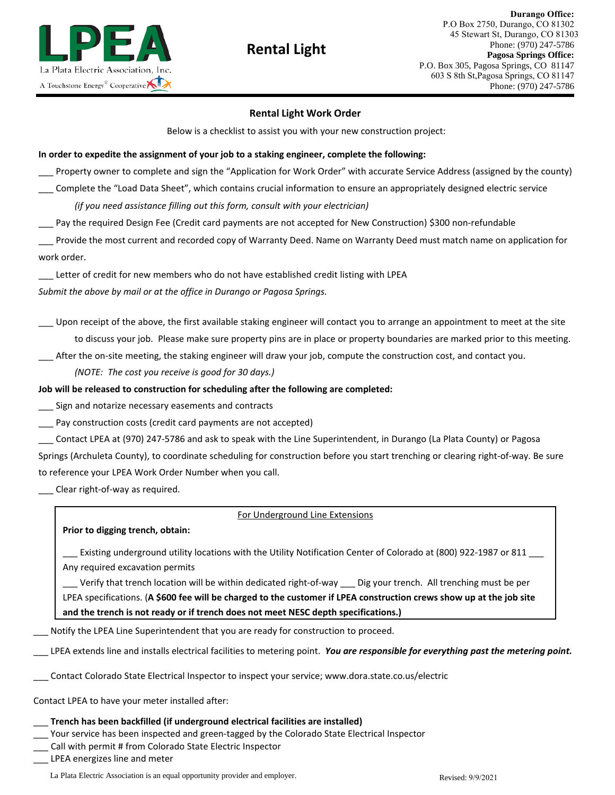

# **Rental Light**

## **Rental Light Work Order**

Below is a checklist to assist you with your new construction project:

## **In order to expedite the assignment of your job to a staking engineer, complete the following:**

Property owner to complete and sign the "Application for Work Order" with accurate Service Address (assigned by the county)

\_\_\_ Complete the "Load Data Sheet", which contains crucial information to ensure an appropriately designed electric service *(if you need assistance filling out this form, consult with your electrician)*

Pay the required Design Fee (Credit card payments are not accepted for New Construction) \$300 non-refundable

Provide the most current and recorded copy of Warranty Deed. Name on Warranty Deed must match name on application for work order.

\_\_\_ Letter of credit for new members who do not have established credit listing with LPEA

*Submit the above by mail or at the office in Durango or Pagosa Springs.*

Upon receipt of the above, the first available staking engineer will contact you to arrange an appointment to meet at the site to discuss your job. Please make sure property pins are in place or property boundaries are marked prior to this meeting.

After the on-site meeting, the staking engineer will draw your job, compute the construction cost, and contact you.

*(NOTE: The cost you receive is good for 30 days.)* 

## **Job will be released to construction for scheduling after you complete the following:**

Sign and notarize necessary easements and contracts

Pay construction costs (credit card payments are not accepted)

\_\_\_ Contact LPEA at (970) 247-5786 and ask to speak with the Line Superintendent, in Durango (La Plata County) or Pagosa Springs (Archuleta County), to coordinate scheduling for construction before you start trenching or clearing right-of-way. Be sure to reference your LPEA Work Order Number when you call.

Clear right-of-way as required.

## For Underground Line Extensions

**Prior to digging trench, obtain:** 

\_\_\_ Existing underground utility locations with the Utility Notification Center of Colorado at (800) 922-1987 or 811

Any required excavation permits

Verify that trench location will be within dedicated right-of-way

\_\_\_ Dig your trench. All trenching must be per LPEA specifications. (**A \$600 fee will be charged to the customer if LPEA construction crews show up at the job site and the trench is not ready or if trench does not meet NESC depth specifications.)**

Notify the LPEA Line Superintendent that you are ready for construction to proceed.

\_\_\_ LPEA extends line and installs electrical facilities to metering point. *You are responsible for everything past the metering point.*

\_\_\_ Contact Colorado State Electrical Inspector to inspect your service; www.dora.state.co.us/electric

Contact LPEA to have your meter installed after:

## \_\_\_ **Trench has been backfilled (if underground electrical facilities are installed)**

\_\_\_ Your service has been inspected and green-tagged by the Colorado State Electrical Inspector

Call La Plata Electric at 970-247-5786 with permit # from Colorado Electrical Inspector.

\_\_\_ LPEA energizes line and meter

La Plata Electric Association is an equal opportunity provider and employer. Revised: 9/9/2021